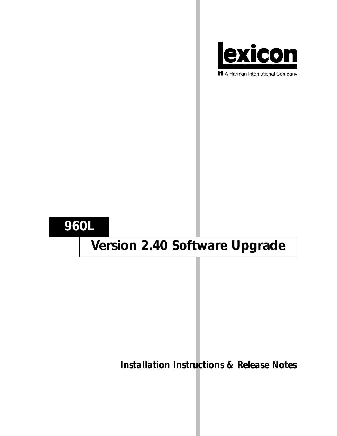

H A Harman International Company

## **960L**

# **Version 2.40 Software Upgrade**

*Installation Instructions & Release Notes*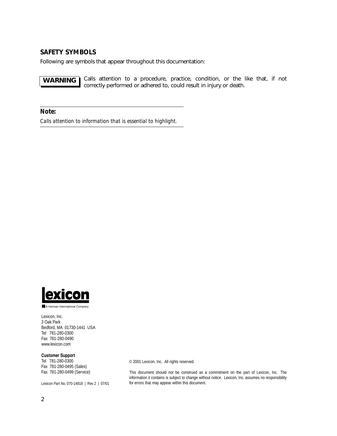## **SAFETY SYMBOLS**

Following are symbols that appear throughout this documentation:

Calls attention to a procedure, practice, condition, or the like that, if not correctly performed or adhered to, could result in injury or death. **WARNING**

*Note:*

*Calls attention to information that is essential to highlight.*



A Harman International Company

Lexicon, Inc. 3 Oak Park Bedford, MA 01730-1441 USA Tel 781-280-0300 Fax 781-280-0490 www.lexicon.com

#### **Customer Support**

Tel 781-280-0300 Fax 781-280-0495 (Sales) Fax 781-280-0499 (Service)

Lexicon Part No. 070-14818 | Rev 2 | 07/01

© 2001 Lexicon, Inc. All rights reserved.

This document should not be construed as a commitment on the part of Lexicon, Inc. The information it contains is subject to change without notice. Lexicon, Inc. assumes no responsibility for errors that may appear within this document.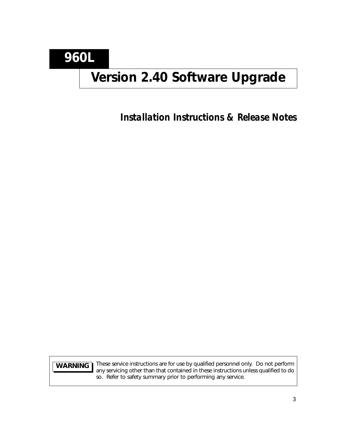**960L**

## **Version 2.40 Software Upgrade**

*Installation Instructions & Release Notes*

**WARNING**

These service instructions are for use by qualified personnel only. Do not perform any servicing other than that contained in these instructions unless qualified to do so. Refer to safety summary prior to performing any service.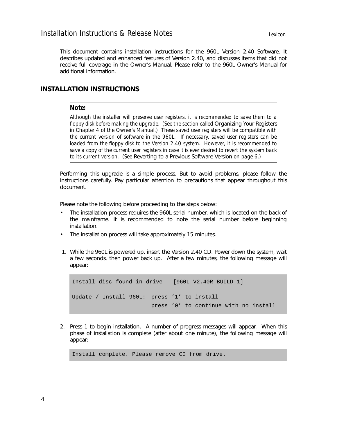This document contains installation instructions for the 960L Version 2.40 Software. It describes updated and enhanced features of Version 2.40, and discusses items that did not receive full coverage in the Owner's Manual. Please refer to the 960L Owner's Manual for additional information.

## **INSTALLATION INSTRUCTIONS**

#### *Note:*

*Although the installer will preserve user registers, it is recommended to save them to a floppy disk before making the upgrade. (See the section called Organizing Your Registers in Chapter 4 of the Owner's Manual.) These saved user registers will be compatible with the current version of software in the 960L. If necessary, saved user registers can be loaded from the floppy disk to the Version 2.40 system. However, it is recommended to save a copy of the current user registers in case it is ever desired to revert the system back to its current version. (See* Reverting to a Previous Software Version *on page 6.)*

Performing this upgrade is a simple process. But to avoid problems, please follow the instructions carefully. Pay particular attention to precautions that appear throughout this document.

Please note the following before proceeding to the steps below:

- The installation process requires the 960L serial number, which is located on the back of the mainframe. It is recommended to note the serial number before beginning installation.
- The installation process will take approximately 15 minutes.
- 1. While the 960L is powered up, insert the Version 2.40 CD. Power down the system, wait a few seconds, then power back up. After a few minutes, the following message will appear:

Install disc found in drive — [960L V2.40R BUILD 1] Update / Install 960L: press '1' to install press '0' to continue with no install

2. Press 1 to begin installation. A number of progress messages will appear. When this phase of installation is complete (after about one minute), the following message will appear:

Install complete. Please remove CD from drive.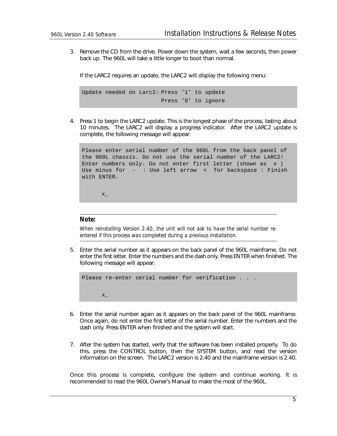3. Remove the CD from the drive. Power down the system, wait a few seconds, then power back up. The 960L will take a little longer to boot than normal.

If the LARC2 requires an update, the LARC2 will display the following menu:

Update needed on Larc2: Press '1' to update Press '0' to ignore

4. Press 1 to begin the LARC2 update. This is the longest phase of the process, lasting about 10 minutes. The LARC2 will display a progress indicator. After the LARC2 update is complete, the following message will appear:

Please enter serial number of the 960L from the back panel of the 960L chassis. Do not use the serial number of the LARC2! Enter numbers only. Do not enter first letter (shown as x ) Use minus for - : Use left arrow < for backspace : Finish with ENTER.

 $X_{-}$ 

#### *Note:*

*When reinstalling Version 2.40, the unit will not ask to have the serial number reentered if this process was completed during a previous installation.*

5. Enter the serial number as it appears on the back panel of the 960L mainframe. Do not enter the first letter. Enter the numbers and the dash only. Press ENTER when finished. The following message will appear:

Please re-enter serial number for verification . . . x\_

- 6. Enter the serial number again as it appears on the back panel of the 960L mainframe. Once again, do not enter the first letter of the serial number. Enter the numbers and the dash only. Press ENTER when finished and the system will start.
- 7. After the system has started, verify that the software has been installed properly. To do this, press the CONTROL button, then the SYSTEM button, and read the version information on the screen. The LARC2 version is 2.40 and the mainframe version is 2.40.

Once this process is complete, configure the system and continue working. It is recommended to read the 960L Owner's Manual to make the most of the 960L.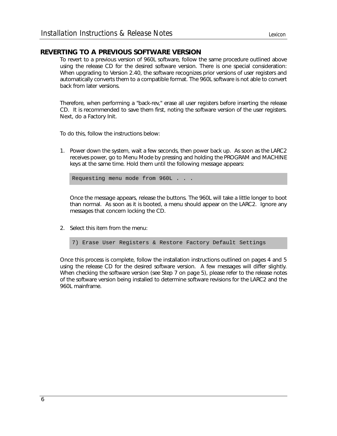### **REVERTING TO A PREVIOUS SOFTWARE VERSION**

To revert to a previous version of 960L software, follow the same procedure outlined above using the release CD for the desired software version. There is one special consideration: When upgrading to Version 2.40, the software recognizes prior versions of user registers and automatically converts them to a compatible format. The 960L software is not able to convert back from later versions.

Therefore, when performing a "back-rev," erase all user registers before inserting the release CD. It is recommended to save them first, noting the software version of the user registers. Next, do a Factory Init.

To do this, follow the instructions below:

1. Power down the system, wait a few seconds, then power back up. As soon as the LARC2 receives power, go to Menu Mode by pressing and holding the PROGRAM and MACHINE keys at the same time. Hold them until the following message appears:

Requesting menu mode from 960L . . .

Once the message appears, release the buttons. The 960L will take a little longer to boot than normal. As soon as it is booted, a menu should appear on the LARC2. Ignore any messages that concern locking the CD.

2. Select this item from the menu:

7) Erase User Registers & Restore Factory Default Settings

Once this process is complete, follow the installation instructions outlined on pages 4 and 5 using the release CD for the desired software version. A few messages will differ slightly. When checking the software version (see Step 7 on page 5), please refer to the release notes of the software version being installed to determine software revisions for the LARC2 and the 960L mainframe.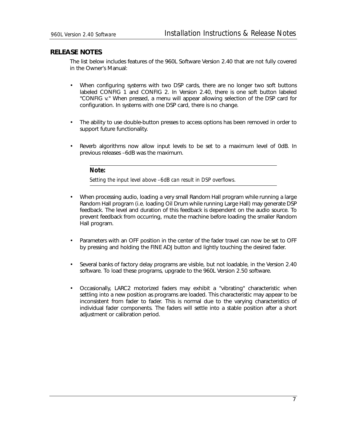### **RELEASE NOTES**

The list below includes features of the 960L Software Version 2.40 that are not fully covered in the Owner's Manual:

- When configuring systems with two DSP cards, there are no longer two soft buttons labeled CONFIG 1 and CONFIG 2. In Version 2.40, there is one soft button labeled "CONFIG v." When pressed, a menu will appear allowing selection of the DSP card for configuration. In systems with one DSP card, there is no change.
- The ability to use double-button presses to access options has been removed in order to support future functionality.
- Reverb algorithms now allow input levels to be set to a maximum level of 0dB. In previous releases –6dB was the maximum.

#### *Note:*

*Setting the input level above –6dB can result in DSP overflows.*

- When processing audio, loading a very small Random Hall program while running a large Random Hall program (i.e. loading Oil Drum while running Large Hall) may generate DSP feedback. The level and duration of this feedback is dependent on the audio source. To prevent feedback from occurring, mute the machine before loading the smaller Random Hall program.
- Parameters with an OFF position in the center of the fader travel can now be set to OFF by pressing and holding the FINE ADJ button and lightly touching the desired fader.
- Several banks of factory delay programs are visible, but not loadable, in the Version 2.40 software. To load these programs, upgrade to the 960L Version 2.50 software.
- Occasionally, LARC2 motorized faders may exhibit a "vibrating" characteristic when settling into a new position as programs are loaded. This characteristic may appear to be inconsistent from fader to fader. This is normal due to the varying characteristics of individual fader components. The faders will settle into a stable position after a short adjustment or calibration period.